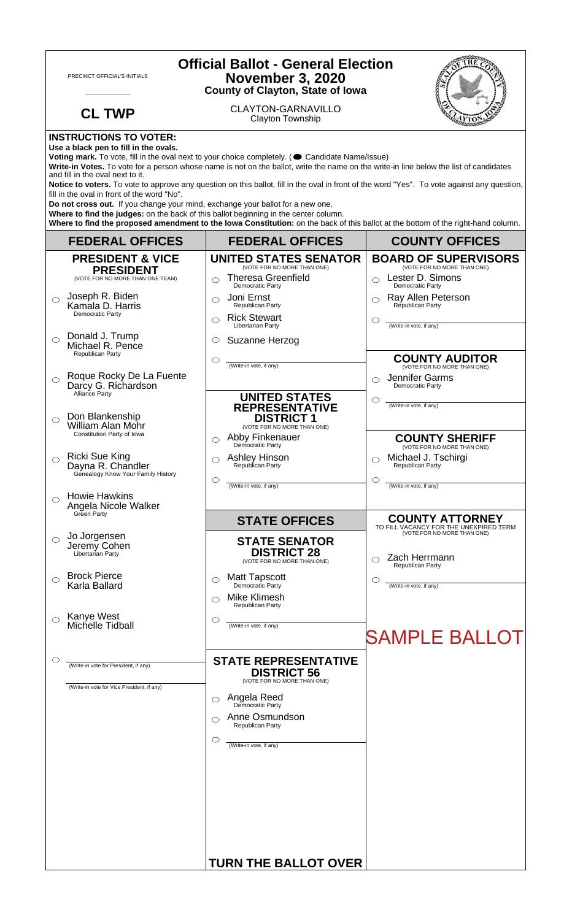| <b>Official Ballot - General Election</b><br><b>November 3, 2020</b><br>PRECINCT OFFICIAL'S INITIALS<br><b>County of Clayton, State of Iowa</b>                                                                                                                                                                                                                                                                                                                                                                                                                                                                                                                                                                                                                                                                                                                      |                                                                                                        |                                                                                                                                                                                                     |                                                                                                                               |  |
|----------------------------------------------------------------------------------------------------------------------------------------------------------------------------------------------------------------------------------------------------------------------------------------------------------------------------------------------------------------------------------------------------------------------------------------------------------------------------------------------------------------------------------------------------------------------------------------------------------------------------------------------------------------------------------------------------------------------------------------------------------------------------------------------------------------------------------------------------------------------|--------------------------------------------------------------------------------------------------------|-----------------------------------------------------------------------------------------------------------------------------------------------------------------------------------------------------|-------------------------------------------------------------------------------------------------------------------------------|--|
|                                                                                                                                                                                                                                                                                                                                                                                                                                                                                                                                                                                                                                                                                                                                                                                                                                                                      | <b>CL TWP</b>                                                                                          | <b>CLAYTON-GARNAVILLO</b><br>Clayton Township                                                                                                                                                       |                                                                                                                               |  |
| <b>INSTRUCTIONS TO VOTER:</b><br>Use a black pen to fill in the ovals.<br>Voting mark. To vote, fill in the oval next to your choice completely. ( Candidate Name/Issue)<br>Write-in Votes. To vote for a person whose name is not on the ballot, write the name on the write-in line below the list of candidates<br>and fill in the oval next to it.<br>Notice to voters. To vote to approve any question on this ballot, fill in the oval in front of the word "Yes". To vote against any question,<br>fill in the oval in front of the word "No".<br>Do not cross out. If you change your mind, exchange your ballot for a new one.<br>Where to find the judges: on the back of this ballot beginning in the center column.<br>Where to find the proposed amendment to the lowa Constitution: on the back of this ballot at the bottom of the right-hand column. |                                                                                                        |                                                                                                                                                                                                     |                                                                                                                               |  |
|                                                                                                                                                                                                                                                                                                                                                                                                                                                                                                                                                                                                                                                                                                                                                                                                                                                                      | <b>FEDERAL OFFICES</b>                                                                                 | <b>FEDERAL OFFICES</b>                                                                                                                                                                              | <b>COUNTY OFFICES</b>                                                                                                         |  |
| $\bigcirc$                                                                                                                                                                                                                                                                                                                                                                                                                                                                                                                                                                                                                                                                                                                                                                                                                                                           | <b>PRESIDENT &amp; VICE</b><br><b>PRESIDENT</b><br>(VOTE FOR NO MORE THAN ONE TEAM)<br>Joseph R. Biden | <b>UNITED STATES SENATOR</b><br>(VOTE FOR NO MORE THAN ONE)<br><b>Theresa Greenfield</b><br>◯<br>Democratic Party<br>Joni Ernst<br>◯                                                                | <b>BOARD OF SUPERVISORS</b><br>(VOTE FOR NO MORE THAN ONE)<br>Lester D. Simons<br>Democratic Party<br>Ray Allen Peterson<br>◯ |  |
| $\bigcirc$                                                                                                                                                                                                                                                                                                                                                                                                                                                                                                                                                                                                                                                                                                                                                                                                                                                           | Kamala D. Harris<br>Democratic Party<br>Donald J. Trump<br>Michael R. Pence                            | Republican Party<br><b>Rick Stewart</b><br>◯<br>Libertarian Party<br>Suzanne Herzog<br>$\circ$                                                                                                      | Republican Party<br>O<br>(Write-in vote, if any)                                                                              |  |
| $\bigcirc$                                                                                                                                                                                                                                                                                                                                                                                                                                                                                                                                                                                                                                                                                                                                                                                                                                                           | <b>Republican Party</b><br>Roque Rocky De La Fuente<br>Darcy G. Richardson<br>Alliance Party           | $\circlearrowright$<br>(Write-in vote, if any)<br><b>UNITED STATES</b>                                                                                                                              | <b>COUNTY AUDITOR</b><br>(VOTE FOR NO MORE THAN ONE)<br>Jennifer Garms<br>◯<br>Democratic Party<br>O                          |  |
| $\bigcirc$                                                                                                                                                                                                                                                                                                                                                                                                                                                                                                                                                                                                                                                                                                                                                                                                                                                           | Don Blankenship<br><b>William Alan Mohr</b><br>Constitution Party of Iowa                              | <b>REPRESENTATIVE</b><br><b>DISTRICT 1</b><br>(VOTE FOR NO MORE THAN ONE)<br>Abby Finkenauer<br>⌒                                                                                                   | (Write-in vote, if any)<br><b>COUNTY SHERIFF</b>                                                                              |  |
|                                                                                                                                                                                                                                                                                                                                                                                                                                                                                                                                                                                                                                                                                                                                                                                                                                                                      | <b>Ricki Sue King</b><br>Dayna R. Chandler<br>Genealogy Know Your Family History                       | Democratic Party<br>Ashley Hinson<br>Republican Party<br>◯<br>O<br>(Write-in vote, if any)                                                                                                          | (VOTE FOR NO MORE THAN ONE)<br>Michael J. Tschirgi<br>Republican Party<br>$\circlearrowright$<br>(Write-in vote, if any)      |  |
| $\bigcirc$                                                                                                                                                                                                                                                                                                                                                                                                                                                                                                                                                                                                                                                                                                                                                                                                                                                           | <b>Howie Hawkins</b><br>Angela Nicole Walker<br>Green Party                                            | <b>STATE OFFICES</b>                                                                                                                                                                                | <b>COUNTY ATTORNEY</b>                                                                                                        |  |
| ◯                                                                                                                                                                                                                                                                                                                                                                                                                                                                                                                                                                                                                                                                                                                                                                                                                                                                    | Jo Jorgensen<br>Jeremy Cohen<br>Libertarian Party                                                      | <b>STATE SENATOR</b><br><b>DISTRICT 28</b><br>(VOTE FOR NO MORE THAN ONE)                                                                                                                           | TO FILL VACANCY FOR THE UNEXPIRED TERM<br>(VOTE FOR NO MORE THAN ONE)<br>Zach Herrmann<br>Republican Party                    |  |
|                                                                                                                                                                                                                                                                                                                                                                                                                                                                                                                                                                                                                                                                                                                                                                                                                                                                      | <b>Brock Pierce</b><br>Karla Ballard                                                                   | <b>Matt Tapscott</b><br>◯<br>Democratic Party<br><b>Mike Klimesh</b><br>Republican Party                                                                                                            | C<br>(Write-in vote, if any)                                                                                                  |  |
|                                                                                                                                                                                                                                                                                                                                                                                                                                                                                                                                                                                                                                                                                                                                                                                                                                                                      | Kanye West<br>Michelle Tidball                                                                         | $\circlearrowright$<br>(Write-in vote, if any)                                                                                                                                                      | <b>SAMPLE BALLOT</b>                                                                                                          |  |
|                                                                                                                                                                                                                                                                                                                                                                                                                                                                                                                                                                                                                                                                                                                                                                                                                                                                      | (Write-in vote for President, if any)<br>(Write-in vote for Vice President, if any)                    | <b>STATE REPRESENTATIVE</b><br><b>DISTRICT 56</b><br>(VOTE FOR NO MORE THAN ONE)<br>Angela Reed<br>Democratic Party<br>◯<br>Anne Osmundson<br>◯<br>Republican Party<br>C<br>(Write-in vote, if any) |                                                                                                                               |  |
|                                                                                                                                                                                                                                                                                                                                                                                                                                                                                                                                                                                                                                                                                                                                                                                                                                                                      |                                                                                                        | <b>TURN THE BALLOT OVER</b>                                                                                                                                                                         |                                                                                                                               |  |